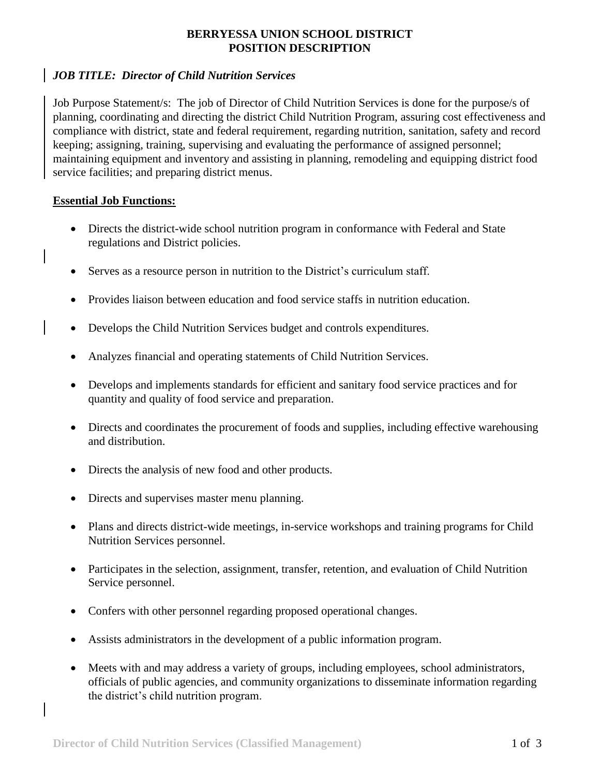## **BERRYESSA UNION SCHOOL DISTRICT POSITION DESCRIPTION**

# *JOB TITLE: Director of Child Nutrition Services*

Job Purpose Statement/s: The job of Director of Child Nutrition Services is done for the purpose/s of planning, coordinating and directing the district Child Nutrition Program, assuring cost effectiveness and compliance with district, state and federal requirement, regarding nutrition, sanitation, safety and record keeping; assigning, training, supervising and evaluating the performance of assigned personnel; maintaining equipment and inventory and assisting in planning, remodeling and equipping district food service facilities; and preparing district menus.

## **Essential Job Functions:**

- Directs the district-wide school nutrition program in conformance with Federal and State regulations and District policies.
- Serves as a resource person in nutrition to the District's curriculum staff.
- Provides liaison between education and food service staffs in nutrition education.
- Develops the Child Nutrition Services budget and controls expenditures.
- Analyzes financial and operating statements of Child Nutrition Services.
- Develops and implements standards for efficient and sanitary food service practices and for quantity and quality of food service and preparation.
- Directs and coordinates the procurement of foods and supplies, including effective warehousing and distribution.
- Directs the analysis of new food and other products.
- Directs and supervises master menu planning.
- Plans and directs district-wide meetings, in-service workshops and training programs for Child Nutrition Services personnel.
- Participates in the selection, assignment, transfer, retention, and evaluation of Child Nutrition Service personnel.
- Confers with other personnel regarding proposed operational changes.
- Assists administrators in the development of a public information program.
- Meets with and may address a variety of groups, including employees, school administrators, officials of public agencies, and community organizations to disseminate information regarding the district's child nutrition program.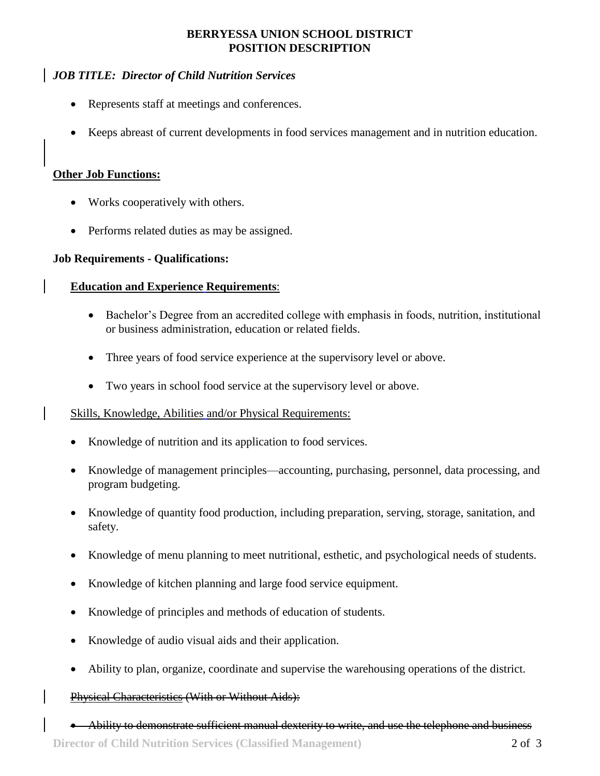## **BERRYESSA UNION SCHOOL DISTRICT POSITION DESCRIPTION**

## *JOB TITLE: Director of Child Nutrition Services*

- Represents staff at meetings and conferences.
- Keeps abreast of current developments in food services management and in nutrition education.

## **Other Job Functions:**

- Works cooperatively with others.
- Performs related duties as may be assigned.

## **Job Requirements - Qualifications:**

## **Education and Experience Requirements**:

- Bachelor's Degree from an accredited college with emphasis in foods, nutrition, institutional or business administration, education or related fields.
- Three years of food service experience at the supervisory level or above.
- Two years in school food service at the supervisory level or above.

## Skills, Knowledge, Abilities and/or Physical Requirements:

- Knowledge of nutrition and its application to food services.
- Knowledge of management principles—accounting, purchasing, personnel, data processing, and program budgeting.
- Knowledge of quantity food production, including preparation, serving, storage, sanitation, and safety.
- Knowledge of menu planning to meet nutritional, esthetic, and psychological needs of students.
- Knowledge of kitchen planning and large food service equipment.
- Knowledge of principles and methods of education of students.
- Knowledge of audio visual aids and their application.
- Ability to plan, organize, coordinate and supervise the warehousing operations of the district.

## Physical Characteristics (With or Without Aids):

Ability to demonstrate sufficient manual dexterity to write, and use the telephone and business